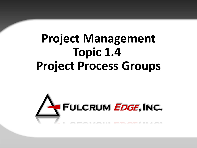# **Project Management Topic 1.4 Project Process Groups**

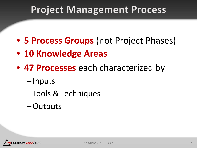# **Project Management Process**

- **5 Process Groups** (not Project Phases)
- **10 Knowledge Areas**
- **47 Processes** each characterized by
	- Inputs
	- Tools & Techniques
	- –Outputs

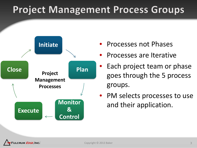# **Project Management Process Groups**



- Processes not Phases
- Processes are Iterative
- Each project team or phase goes through the 5 process groups.
- PM selects processes to use and their application.

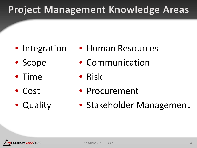- Integration
- Scope
- Time
- Cost
- Quality
- Human Resources
- Communication
- Risk
- Procurement
- Stakeholder Management

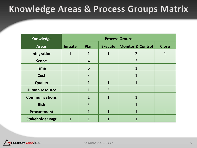### **Knowledge Areas & Process Groups Matrix**

| <b>Knowledge</b>       | <b>Process Groups</b> |                |                |                              |                |  |
|------------------------|-----------------------|----------------|----------------|------------------------------|----------------|--|
| <b>Areas</b>           | <b>Initiate</b>       | Plan           | <b>Execute</b> | <b>Monitor &amp; Control</b> | <b>Close</b>   |  |
| Integration            | $\mathbf{1}$          | $\mathbf{1}$   | $\mathbf{1}$   | $\overline{2}$               | 1              |  |
| <b>Scope</b>           |                       | $\overline{4}$ |                | $\overline{2}$               |                |  |
| <b>Time</b>            |                       | 6              |                | $\mathbf{1}$                 |                |  |
| <b>Cost</b>            |                       | 3              |                | $\mathbf{1}$                 |                |  |
| <b>Quality</b>         |                       | $\mathbf{1}$   | 1              | $\mathbf 1$                  |                |  |
| <b>Human resource</b>  |                       | $\mathbf{1}$   | 3              |                              |                |  |
| <b>Communications</b>  |                       | $\mathbf{1}$   | $\mathbf{1}$   | $\overline{1}$               |                |  |
| <b>Risk</b>            |                       | 5              |                | $\mathbf{1}$                 |                |  |
| <b>Procurement</b>     |                       | $\mathbf{1}$   | $\mathbf{1}$   | $\mathbf{1}$                 | $\overline{1}$ |  |
| <b>Stakeholder Mgt</b> | $\mathbf{1}$          | 1              |                | 1                            |                |  |

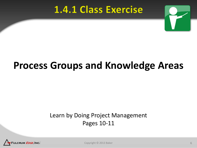### **1.4.1 Class Exercise**



# **Process Groups and Knowledge Areas**

#### Learn by Doing Project Management Pages 10-11



Copyright © 2013 Baker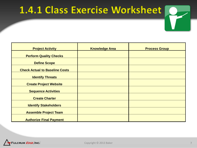## 1.4.1 Class Exercise Worksheet

| <b>Project Activity</b>               | <b>Knowledge Area</b> | <b>Process Group</b> |
|---------------------------------------|-----------------------|----------------------|
| <b>Perform Quality Checks</b>         |                       |                      |
| <b>Define Scope</b>                   |                       |                      |
| <b>Check Actual to Baseline Costs</b> |                       |                      |
| <b>Identify Threats</b>               |                       |                      |
| <b>Create Project Website</b>         |                       |                      |
| <b>Sequence Activities</b>            |                       |                      |
| <b>Create Charter</b>                 |                       |                      |
| <b>Identify Stakeholders</b>          |                       |                      |
| <b>Assemble Project Team</b>          |                       |                      |
| <b>Authorize Final Payment</b>        |                       |                      |

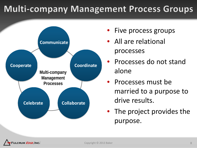### **Multi-company Management Process Groups**



- Five process groups
- All are relational processes
- Processes do not stand alone
- Processes must be married to a purpose to drive results.
- The project provides the purpose.

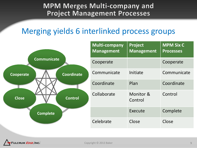#### **MPM Merges Multi-company and Project Management Processes**

### Merging yields 6 interlinked process groups

|                           |                | <b>Multi-company</b><br><b>Management</b> | Project<br><b>Management</b> | <b>MPM Six C</b><br><b>Processes</b> |
|---------------------------|----------------|-------------------------------------------|------------------------------|--------------------------------------|
| <b>Communicate</b>        |                | Cooperate                                 |                              | Cooperate                            |
| Cooperate<br><b>Close</b> | Coordinate     | Communicate                               | Initiate                     | Communicate                          |
|                           |                | Coordinate                                | Plan                         | Coordinate                           |
|                           | <b>Control</b> | Collaborate                               | Monitor &<br>Control         | Control                              |
| <b>Complete</b>           |                |                                           | Execute                      | Complete                             |
|                           |                | Celebrate                                 | Close                        | Close                                |